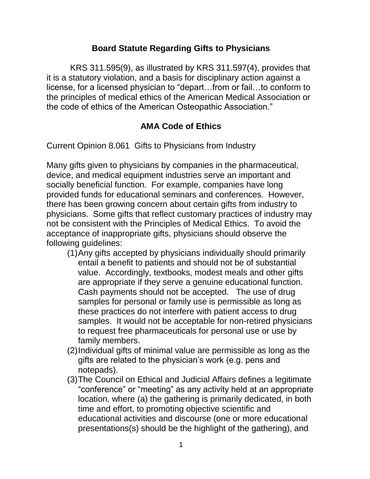#### **Board Statute Regarding Gifts to Physicians**

 KRS 311.595(9), as illustrated by KRS 311.597(4), provides that it is a statutory violation, and a basis for disciplinary action against a license, for a licensed physician to "depart…from or fail…to conform to the principles of medical ethics of the American Medical Association or the code of ethics of the American Osteopathic Association."

# **AMA Code of Ethics**

Current Opinion 8.061 Gifts to Physicians from Industry

Many gifts given to physicians by companies in the pharmaceutical, device, and medical equipment industries serve an important and socially beneficial function. For example, companies have long provided funds for educational seminars and conferences. However, there has been growing concern about certain gifts from industry to physicians. Some gifts that reflect customary practices of industry may not be consistent with the Principles of Medical Ethics. To avoid the acceptance of inappropriate gifts, physicians should observe the following guidelines:

- (1)Any gifts accepted by physicians individually should primarily entail a benefit to patients and should not be of substantial value. Accordingly, textbooks, modest meals and other gifts are appropriate if they serve a genuine educational function. Cash payments should not be accepted. The use of drug samples for personal or family use is permissible as long as these practices do not interfere with patient access to drug samples. It would not be acceptable for non-retired physicians to request free pharmaceuticals for personal use or use by family members.
- (2)Individual gifts of minimal value are permissible as long as the gifts are related to the physician's work (e.g. pens and notepads).
- (3)The Council on Ethical and Judicial Affairs defines a legitimate "conference" or "meeting" as any activity held at an appropriate location, where (a) the gathering is primarily dedicated, in both time and effort, to promoting objective scientific and educational activities and discourse (one or more educational presentations(s) should be the highlight of the gathering), and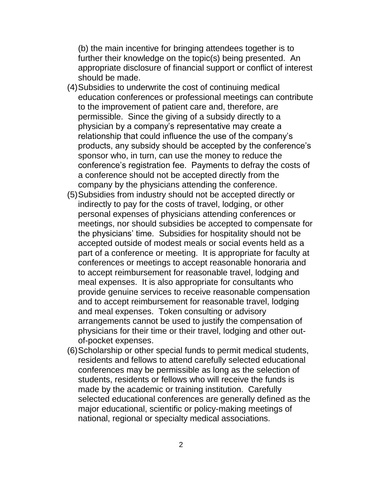(b) the main incentive for bringing attendees together is to further their knowledge on the topic(s) being presented. An appropriate disclosure of financial support or conflict of interest should be made.

- (4)Subsidies to underwrite the cost of continuing medical education conferences or professional meetings can contribute to the improvement of patient care and, therefore, are permissible. Since the giving of a subsidy directly to a physician by a company's representative may create a relationship that could influence the use of the company's products, any subsidy should be accepted by the conference's sponsor who, in turn, can use the money to reduce the conference's registration fee. Payments to defray the costs of a conference should not be accepted directly from the company by the physicians attending the conference.
- (5)Subsidies from industry should not be accepted directly or indirectly to pay for the costs of travel, lodging, or other personal expenses of physicians attending conferences or meetings, nor should subsidies be accepted to compensate for the physicians' time. Subsidies for hospitality should not be accepted outside of modest meals or social events held as a part of a conference or meeting. It is appropriate for faculty at conferences or meetings to accept reasonable honoraria and to accept reimbursement for reasonable travel, lodging and meal expenses. It is also appropriate for consultants who provide genuine services to receive reasonable compensation and to accept reimbursement for reasonable travel, lodging and meal expenses. Token consulting or advisory arrangements cannot be used to justify the compensation of physicians for their time or their travel, lodging and other outof-pocket expenses.
- (6)Scholarship or other special funds to permit medical students, residents and fellows to attend carefully selected educational conferences may be permissible as long as the selection of students, residents or fellows who will receive the funds is made by the academic or training institution. Carefully selected educational conferences are generally defined as the major educational, scientific or policy-making meetings of national, regional or specialty medical associations.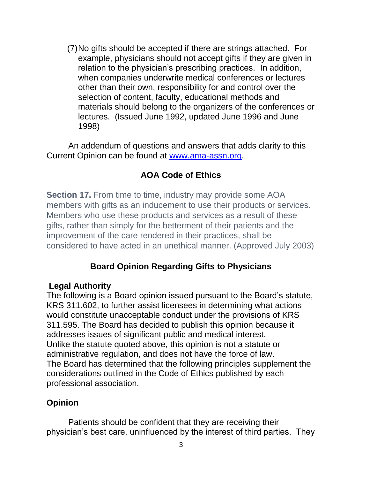(7)No gifts should be accepted if there are strings attached. For example, physicians should not accept gifts if they are given in relation to the physician's prescribing practices. In addition, when companies underwrite medical conferences or lectures other than their own, responsibility for and control over the selection of content, faculty, educational methods and materials should belong to the organizers of the conferences or lectures. (Issued June 1992, updated June 1996 and June 1998)

An addendum of questions and answers that adds clarity to this Current Opinion can be found at [www.ama-assn.org.](http://www.ama-assn.org/)

## **AOA Code of Ethics**

**Section 17.** From time to time, industry may provide some AOA members with gifts as an inducement to use their products or services. Members who use these products and services as a result of these gifts, rather than simply for the betterment of their patients and the improvement of the care rendered in their practices, shall be considered to have acted in an unethical manner. (Approved July 2003)

## **Board Opinion Regarding Gifts to Physicians**

#### **Legal Authority**

The following is a Board opinion issued pursuant to the Board's statute, KRS 311.602, to further assist licensees in determining what actions would constitute unacceptable conduct under the provisions of KRS 311.595. The Board has decided to publish this opinion because it addresses issues of significant public and medical interest. Unlike the statute quoted above, this opinion is not a statute or administrative regulation, and does not have the force of law. The Board has determined that the following principles supplement the considerations outlined in the Code of Ethics published by each professional association.

## **Opinion**

Patients should be confident that they are receiving their physician's best care, uninfluenced by the interest of third parties. They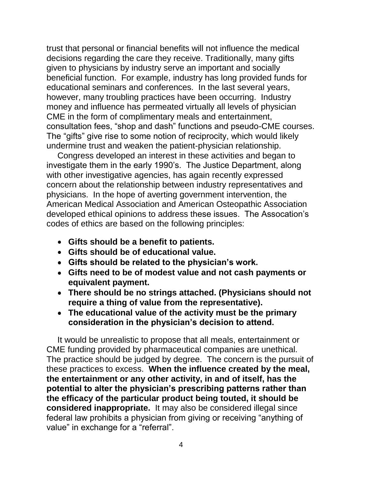trust that personal or financial benefits will not influence the medical decisions regarding the care they receive. Traditionally, many gifts given to physicians by industry serve an important and socially beneficial function. For example, industry has long provided funds for educational seminars and conferences. In the last several years, however, many troubling practices have been occurring. Industry money and influence has permeated virtually all levels of physician CME in the form of complimentary meals and entertainment, consultation fees, "shop and dash" functions and pseudo-CME courses. The "gifts" give rise to some notion of reciprocity, which would likely undermine trust and weaken the patient-physician relationship.

Congress developed an interest in these activities and began to investigate them in the early 1990's. The Justice Department, along with other investigative agencies, has again recently expressed concern about the relationship between industry representatives and physicians. In the hope of averting government intervention, the American Medical Association and American Osteopathic Association developed ethical opinions to address these issues. The Assocation's codes of ethics are based on the following principles:

- **Gifts should be a benefit to patients.**
- **Gifts should be of educational value.**
- **Gifts should be related to the physician's work.**
- **Gifts need to be of modest value and not cash payments or equivalent payment.**
- **There should be no strings attached. (Physicians should not require a thing of value from the representative).**
- **The educational value of the activity must be the primary consideration in the physician's decision to attend.**

It would be unrealistic to propose that all meals, entertainment or CME funding provided by pharmaceutical companies are unethical. The practice should be judged by degree. The concern is the pursuit of these practices to excess. **When the influence created by the meal, the entertainment or any other activity, in and of itself, has the potential to alter the physician's prescribing patterns rather than the efficacy of the particular product being touted, it should be considered inappropriate.** It may also be considered illegal since federal law prohibits a physician from giving or receiving "anything of value" in exchange for a "referral".